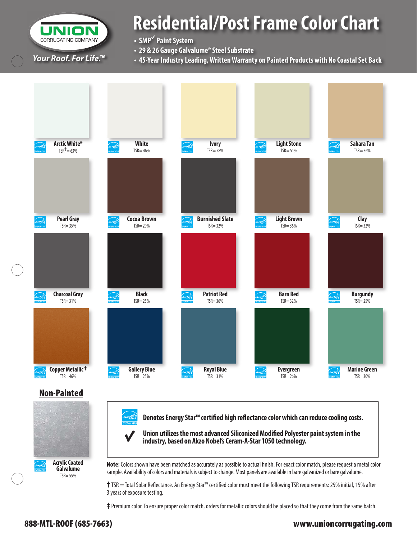CORRUGATING COMPANY *Your Roof. For Life. ™* 

# **Residential/Post Frame Color Chart**

**• SMP**<sup>√</sup>  **Paint System**

- **29 & 26 Gauge Galvalume® Steel Substrate**
- **45-Year Industry Leading, Written Warranty on Painted Products with No Coastal Set Back**



**‡** Premium color. To ensure proper color match, orders for metallic colors should be placed so that they come from the same batch.

#### 888-MTL-ROOF (685-7663) www.unioncorrugating.com